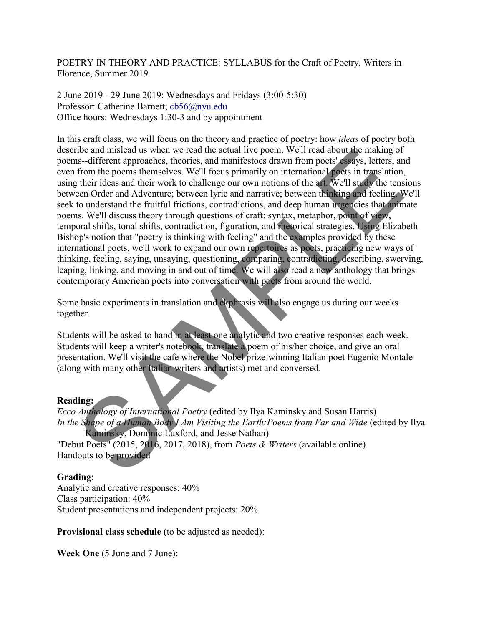POETRY IN THEORY AND PRACTICE: SYLLABUS for the Craft of Poetry, Writers in Florence, Summer 2019

2 June 2019 - 29 June 2019: Wednesdays and Fridays (3:00-5:30) Professor: Catherine Barnett; [cb56@nyu.edu](mailto:cb56@nyu.edu) Office hours: Wednesdays 1:30-3 and by appointment

In this craft class, we will focus on the theory and practice of poetry: how *ideas* of poetry both describe and mislead us when we read the actual live poem. We'll read about the making of poems--different approaches, theories, and manifestoes drawn from poets' essays, letters, and even from the poems themselves. We'll focus primarily on international poets in translation, using their ideas and their work to challenge our own notions of the art. We'll study the tensions between Order and Adventure; between lyric and narrative; between thinking and feeling. We'll seek to understand the fruitful frictions, contradictions, and deep human urgencies that animate poems. We'll discuss theory through questions of craft: syntax, metaphor, point of view, temporal shifts, tonal shifts, contradiction, figuration, and rhetorical strategies. Using Elizabeth Bishop's notion that "poetry is thinking with feeling" and the examples provided by these international poets, we'll work to expand our own repertoires as poets, practicing new ways of thinking, feeling, saying, unsaying, questioning, comparing, contradicting, describing, swerving, leaping, linking, and moving in and out of time. We will also read a new anthology that brings contemporary American poets into conversation with poets from around the world. the and mislead us when we read the actual the proom. Well read about the making of<br>the end mislear distance and manifestocs drawn from poets' essays, letters, an<br>from the poems themselves, theories, and manifestocs drawn

Some basic experiments in translation and ekphrasis will also engage us during our weeks together.

Students will be asked to hand in at least one analytic and two creative responses each week. Students will keep a writer's notebook, translate a poem of his/her choice, and give an oral presentation. We'll visit the cafe where the Nobel prize-winning Italian poet Eugenio Montale (along with many other Italian writers and artists) met and conversed.

## **Reading:**

*Ecco Anthology of International Poetry* (edited by Ilya Kaminsky and Susan Harris) *In the Shape of a Human Body I Am Visiting the Earth:Poems from Far and Wide* (edited by Ilya Kaminsky, Dominic Luxford, and Jesse Nathan) "Debut Poets" (2015, 2016, 2017, 2018), from *Poets & Writers* (available online)

Handouts to be provided

## **Grading**:

Analytic and creative responses: 40% Class participation: 40% Student presentations and independent projects: 20%

**Provisional class schedule** (to be adjusted as needed):

**Week One** (5 June and 7 June):